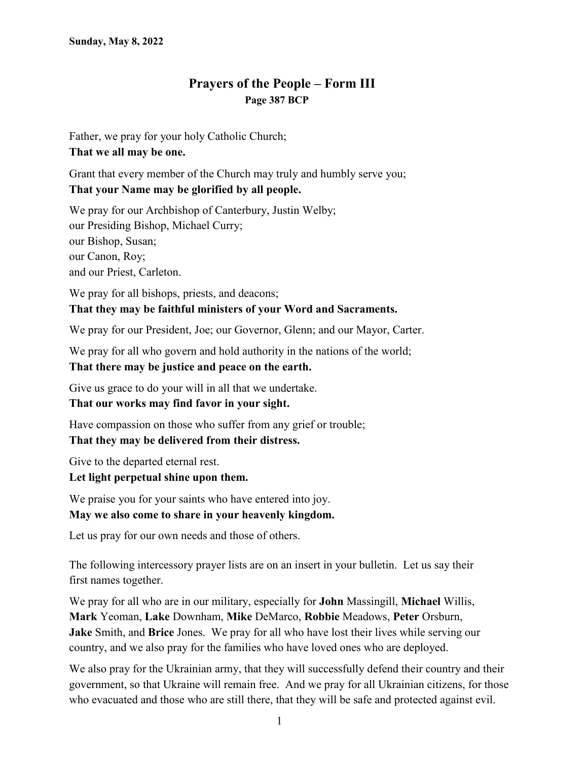## **Prayers of the People – Form III Page 387 BCP**

Father, we pray for your holy Catholic Church; **That we all may be one.**

Grant that every member of the Church may truly and humbly serve you; **That your Name may be glorified by all people.**

We pray for our Archbishop of Canterbury, Justin Welby; our Presiding Bishop, Michael Curry; our Bishop, Susan; our Canon, Roy; and our Priest, Carleton.

We pray for all bishops, priests, and deacons; **That they may be faithful ministers of your Word and Sacraments.**

We pray for our President, Joe; our Governor, Glenn; and our Mayor, Carter.

We pray for all who govern and hold authority in the nations of the world;

**That there may be justice and peace on the earth.**

Give us grace to do your will in all that we undertake.

**That our works may find favor in your sight.**

Have compassion on those who suffer from any grief or trouble; **That they may be delivered from their distress.**

Give to the departed eternal rest.

## **Let light perpetual shine upon them.**

We praise you for your saints who have entered into joy. **May we also come to share in your heavenly kingdom.**

Let us pray for our own needs and those of others.

The following intercessory prayer lists are on an insert in your bulletin. Let us say their first names together.

We pray for all who are in our military, especially for **John** Massingill, **Michael** Willis, **Mark** Yeoman, **Lake** Downham, **Mike** DeMarco, **Robbie** Meadows, **Peter** Orsburn, **Jake** Smith, and **Brice** Jones. We pray for all who have lost their lives while serving our country, and we also pray for the families who have loved ones who are deployed.

We also pray for the Ukrainian army, that they will successfully defend their country and their government, so that Ukraine will remain free. And we pray for all Ukrainian citizens, for those who evacuated and those who are still there, that they will be safe and protected against evil.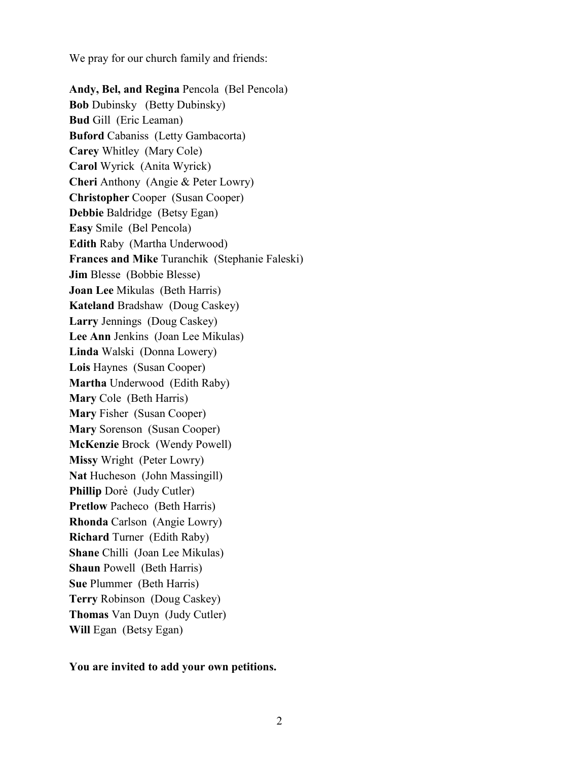We pray for our church family and friends:

**Andy, Bel, and Regina** Pencola (Bel Pencola) **Bob** Dubinsky (Betty Dubinsky) **Bud** Gill (Eric Leaman) **Buford** Cabaniss (Letty Gambacorta) **Carey** Whitley (Mary Cole) **Carol** Wyrick (Anita Wyrick) **Cheri** Anthony (Angie & Peter Lowry) **Christopher** Cooper (Susan Cooper) **Debbie** Baldridge (Betsy Egan) **Easy** Smile (Bel Pencola) **Edith** Raby (Martha Underwood) **Frances and Mike** Turanchik (Stephanie Faleski) **Jim** Blesse (Bobbie Blesse) **Joan Lee** Mikulas (Beth Harris) **Kateland** Bradshaw (Doug Caskey) **Larry** Jennings (Doug Caskey) **Lee Ann** Jenkins (Joan Lee Mikulas) **Linda** Walski (Donna Lowery) **Lois** Haynes (Susan Cooper) **Martha** Underwood (Edith Raby) **Mary** Cole (Beth Harris) **Mary** Fisher (Susan Cooper) **Mary** Sorenson (Susan Cooper) **McKenzie** Brock (Wendy Powell) **Missy** Wright (Peter Lowry) **Nat** Hucheson (John Massingill) **Phillip** Dore (Judy Cutler) **Pretlow** Pacheco (Beth Harris) **Rhonda** Carlson (Angie Lowry) **Richard** Turner (Edith Raby) **Shane** Chilli (Joan Lee Mikulas) **Shaun** Powell (Beth Harris) **Sue** Plummer (Beth Harris) **Terry** Robinson (Doug Caskey) **Thomas** Van Duyn (Judy Cutler) Will Egan (Betsy Egan)

**You are invited to add your own petitions.**